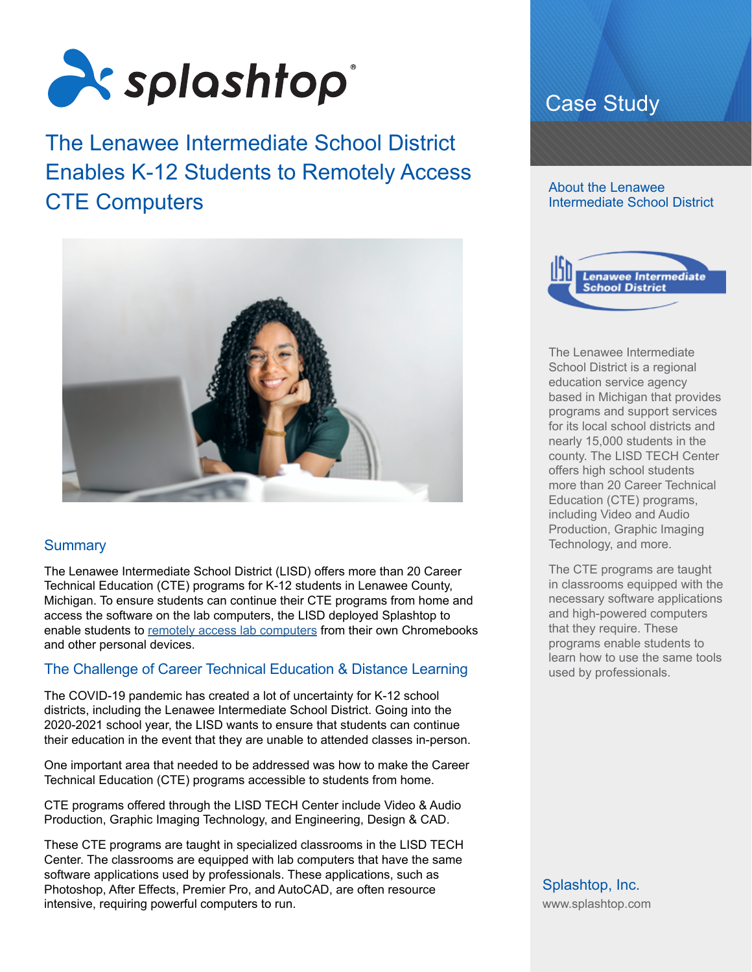

# The Lenawee Intermediate School District Enables K-12 Students to Remotely Access CTE Computers



## **Summary**

The Lenawee Intermediate School District (LISD) offers more than 20 Career Technical Education (CTE) programs for K-12 students in Lenawee County, Michigan. To ensure students can continue their CTE programs from home and access the software on the lab computers, the LISD deployed Splashtop to enable students to [remotely access lab computers](https://www.splashtop.com/remote-labs) from their own Chromebooks and other personal devices.

## The Challenge of Career Technical Education & Distance Learning

The COVID-19 pandemic has created a lot of uncertainty for K-12 school districts, including the Lenawee Intermediate School District. Going into the 2020-2021 school year, the LISD wants to ensure that students can continue their education in the event that they are unable to attended classes in-person.

One important area that needed to be addressed was how to make the Career Technical Education (CTE) programs accessible to students from home.

CTE programs offered through the LISD TECH Center include Video & Audio Production, Graphic Imaging Technology, and Engineering, Design & CAD.

These CTE programs are taught in specialized classrooms in the LISD TECH Center. The classrooms are equipped with lab computers that have the same software applications used by professionals. These applications, such as Photoshop, After Effects, Premier Pro, and AutoCAD, are often resource intensive, requiring powerful computers to run.

## Case Study

#### About the Lenawee Intermediate School District



The Lenawee Intermediate School District is a regional education service agency based in Michigan that provides programs and support services for its local school districts and nearly 15,000 students in the county. The LISD TECH Center offers high school students more than 20 Career Technical Education (CTE) programs, including Video and Audio Production, Graphic Imaging Technology, and more.

The CTE programs are taught in classrooms equipped with the necessary software applications and high-powered computers that they require. These programs enable students to learn how to use the same tools used by professionals.

Splashtop, Inc. [www.splashtop.com](https://www.splashtop.com/)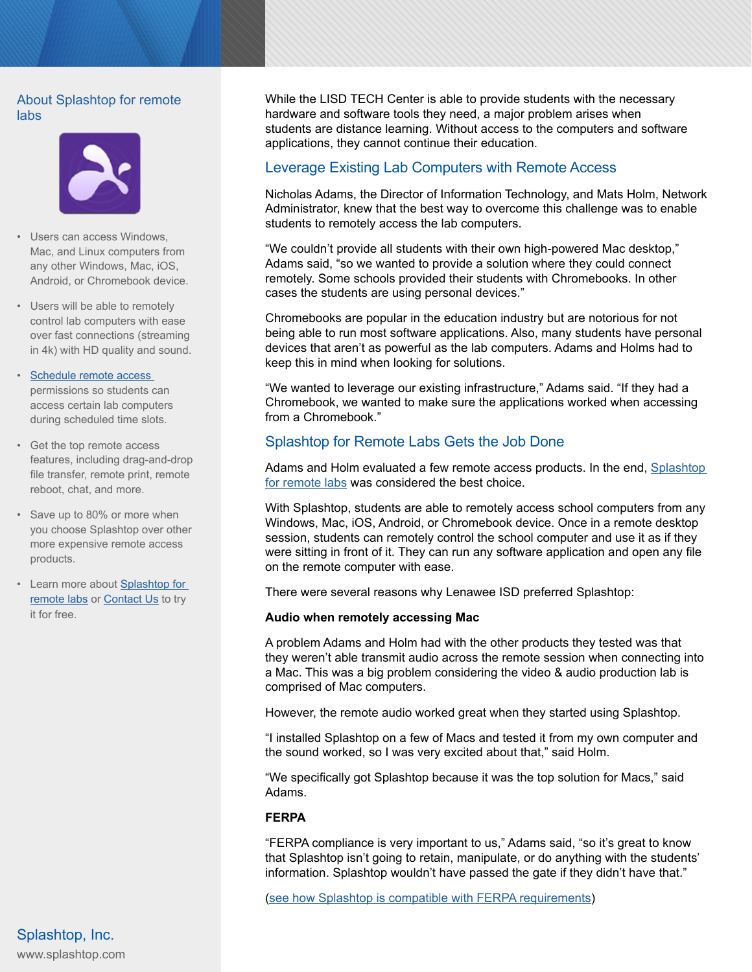## About Splashtop for remote labs



- Users can access Windows, Mac, and Linux computers from any other Windows, Mac, iOS, Android, or Chromebook device.
- Users will be able to remotely control lab computers with ease over fast connections (streaming in 4k) with HD quality and sound.
- [Schedule remote access](https://www.splashtop.com/features/scheduled-remote-access)  permissions so students can access certain lab computers during scheduled time slots.
- Get the top remote access features, including drag-and-drop file transfer, remote print, remote reboot, chat, and more.
- Save up to 80% or more when you choose Splashtop over other more expensive remote access products.
- Learn more about [Splashtop for](https://www.splashtop.com/remote-labs)  [remote labs](https://www.splashtop.com/remote-labs) or [Contact Us](https://marketing.splashtop.com/acton/media/3744/contact-us-remote-labs) to try it for free.

While the LISD TECH Center is able to provide students with the necessary hardware and software tools they need, a major problem arises when students are distance learning. Without access to the computers and software applications, they cannot continue their education.

## Leverage Existing Lab Computers with Remote Access

Nicholas Adams, the Director of Information Technology, and Mats Holm, Network Administrator, knew that the best way to overcome this challenge was to enable students to remotely access the lab computers.

"We couldn't provide all students with their own high-powered Mac desktop," Adams said, "so we wanted to provide a solution where they could connect remotely. Some schools provided their students with Chromebooks. In other cases the students are using personal devices."

Chromebooks are popular in the education industry but are notorious for not being able to run most software applications. Also, many students have personal devices that aren't as powerful as the lab computers. Adams and Holms had to keep this in mind when looking for solutions.

"We wanted to leverage our existing infrastructure," Adams said. "If they had a Chromebook, we wanted to make sure the applications worked when accessing from a Chromebook."

## Splashtop for Remote Labs Gets the Job Done

Adams and Holm evaluated a few remote access products. In the end, [Splashtop](https://www.splashtop.com/remote-labs)  [for remote labs](https://www.splashtop.com/remote-labs) was considered the best choice.

With Splashtop, students are able to remotely access school computers from any Windows, Mac, iOS, Android, or Chromebook device. Once in a remote desktop session, students can remotely control the school computer and use it as if they were sitting in front of it. They can run any software application and open any file on the remote computer with ease.

There were several reasons why Lenawee ISD preferred Splashtop:

#### **Audio when remotely accessing Mac**

A problem Adams and Holm had with the other products they tested was that they weren't able transmit audio across the remote session when connecting into a Mac. This was a big problem considering the video & audio production lab is comprised of Mac computers.

However, the remote audio worked great when they started using Splashtop.

"I installed Splashtop on a few of Macs and tested it from my own computer and the sound worked, so I was very excited about that," said Holm.

"We specifically got Splashtop because it was the top solution for Macs," said Adams.

#### **FERPA**

"FERPA compliance is very important to us," Adams said, "so it's great to know that Splashtop isn't going to retain, manipulate, or do anything with the students' information. Splashtop wouldn't have passed the gate if they didn't have that."

[\(see how Splashtop is compatible with FERPA requirements](https://www.splashtop.com/wp-content/uploads/Splashtop-FERPA-Info-Sheet.pdf))